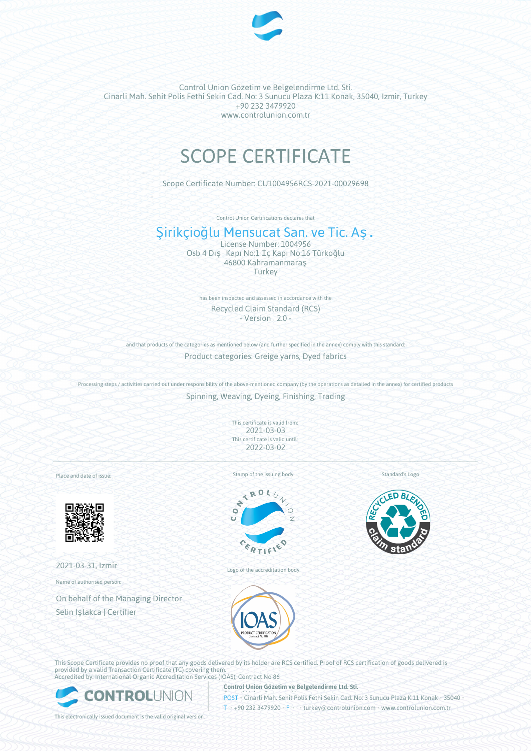

# SCOPE CERTIFICATE

Scope Certificate Number: CU1004956RCS-2021-00029698

Control Union Certifications declares that

## Şirikçioğlu Mensucat San. ve Tic. Aş.

License Number: 1004956 Osb 4 Dış Kapı No:1 İç Kapı No:16 Türkoğlu 46800 Kahramanmaraş **Turkey** 

has been inspected and assessed in accordance with the Recycled Claim Standard (RCS) - Version 2.0 -

and that products of the categories as mentioned below (and further specified in the annex) comply with this standard: Product categories: Greige yarns, Dyed fabrics

Processing steps / activities carried out under responsibility of the above-mentioned company (by the operations as detailed in the annex) for certified products Spinning, Weaving, Dyeing, Finishing, Trading

> This certificate is valid from: 2021-03-03 This certificate is valid until: 2022-03-02

Place and date of issue:



2021-03-31, Izmir

Name of authorised person:

On behalf of the Managing Director Selin Işlakca | Certifier

Stamp of the issuing body



Logo of the accreditation body

Standard's Logo



This Scope Certificate provides no proof that any goods delivered by its holder are RCS certified. Proof of RCS certification of goods delivered is provided by a valid Transaction Certificate (TC) covering them. Accredited by: International Organic Accreditation Services (IOAS); Contract No 86



**Control Union Gözetim ve Belgelendirme Ltd. Sti.**

POST • Cinarli Mah. Sehit Polis Fethi Sekin Cad. No: 3 Sunucu Plaza K:11 Konak • 35040 • T • +90 232 3479920 • F • • turkey@controlunion.com • www.controlunion.com.tr

This electronically issued document is the valid original version.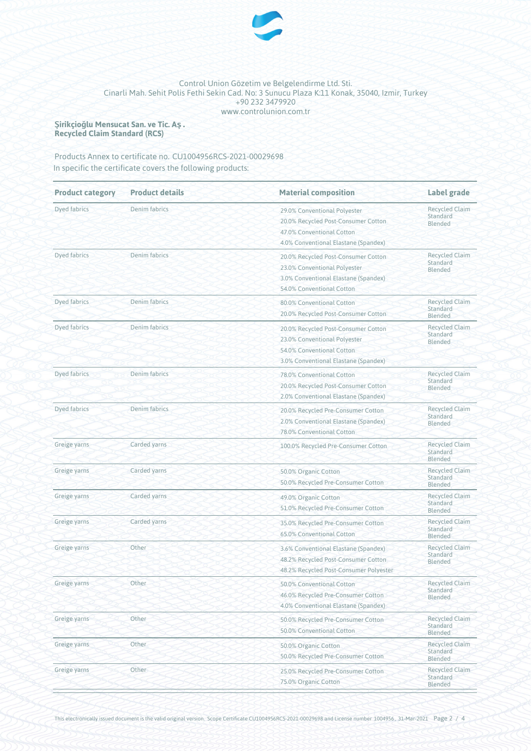

**Şirikçioğlu Mensucat San. ve Tic. Aş. Recycled Claim Standard (RCS)**

Products Annex to certificate no. CU1004956RCS-2021-00029698 In specific the certificate covers the following products:

| <b>Product category</b> | <b>Product details</b> | <b>Material composition</b>                                                                                                              | Label grade                                  |  |
|-------------------------|------------------------|------------------------------------------------------------------------------------------------------------------------------------------|----------------------------------------------|--|
| <b>Dyed fabrics</b>     | Denim fabrics          | 29.0% Conventional Polyester<br>20.0% Recycled Post-Consumer Cotton<br>47.0% Conventional Cotton<br>4.0% Conventional Elastane (Spandex) | <b>Recycled Claim</b><br>Standard<br>Blended |  |
| Dyed fabrics            | Denim fabrics          | 20.0% Recycled Post-Consumer Cotton<br>23.0% Conventional Polyester<br>3.0% Conventional Elastane (Spandex)<br>54.0% Conventional Cotton | <b>Recycled Claim</b><br>Standard<br>Blended |  |
| Dyed fabrics            | Denim fabrics          | 80.0% Conventional Cotton<br>20.0% Recycled Post-Consumer Cotton                                                                         | <b>Recycled Claim</b><br>Standard<br>Blended |  |
| Dyed fabrics            | Denim fabrics          | 20.0% Recycled Post-Consumer Cotton<br>23.0% Conventional Polyester<br>54.0% Conventional Cotton<br>3.0% Conventional Elastane (Spandex) | <b>Recycled Claim</b><br>Standard<br>Blended |  |
| Dyed fabrics            | Denim fabrics          | 78.0% Conventional Cotton<br>20.0% Recycled Post-Consumer Cotton<br>2.0% Conventional Elastane (Spandex)                                 | <b>Recycled Claim</b><br>Standard<br>Blended |  |
| Dyed fabrics            | Denim fabrics          | 20.0% Recycled Pre-Consumer Cotton<br>2.0% Conventional Elastane (Spandex)<br>78.0% Conventional Cotton                                  | <b>Recycled Claim</b><br>Standard<br>Blended |  |
| Greige yarns            | Carded yarns           | 100.0% Recycled Pre-Consumer Cotton                                                                                                      | <b>Recycled Claim</b><br>Standard<br>Blended |  |
| Greige yarns            | Carded yarns           | 50.0% Organic Cotton<br>50.0% Recycled Pre-Consumer Cotton                                                                               | <b>Recycled Claim</b><br>Standard<br>Blended |  |
| Greige yarns            | Carded yarns           | 49.0% Organic Cotton<br>51.0% Recycled Pre-Consumer Cotton                                                                               | <b>Recycled Claim</b><br>Standard<br>Blended |  |
| Greige yarns            | Carded yarns           | 35.0% Recycled Pre-Consumer Cotton<br>65.0% Conventional Cotton                                                                          | <b>Recycled Claim</b><br>Standard<br>Blended |  |
| Greige yarns            | Other                  | 3.6% Conventional Elastane (Spandex)<br>48.2% Recycled Post-Consumer Cotton<br>48.2% Recycled Post-Consumer Polyester                    | <b>Recycled Claim</b><br>Standard<br>Blended |  |
| Greige yarns            | Other                  | 50.0% Conventional Cotton<br>46.0% Recycled Pre-Consumer Cotton<br>4.0% Conventional Elastane (Spandex)                                  | <b>Recycled Claim</b><br>Standard<br>Blended |  |
| Greige yarns            | Other                  | 50.0% Recycled Pre-Consumer Cotton<br>50.0% Conventional Cotton                                                                          | <b>Recycled Claim</b><br>Standard<br>Blended |  |
| Greige yarns            | Other                  | 50.0% Organic Cotton<br>50.0% Recycled Pre-Consumer Cotton                                                                               | <b>Recycled Claim</b><br>Standard<br>Blended |  |
| Greige yarns            | Other                  | 25.0% Recycled Pre-Consumer Cotton<br>75.0% Organic Cotton                                                                               | <b>Recycled Claim</b><br>Standard<br>Blended |  |

This electronically issued document is the valid original version. Scope Certificate CU1004956RCS-2021-00029698 and License number 1004956, 31-Mar-2021 Page 2 / 4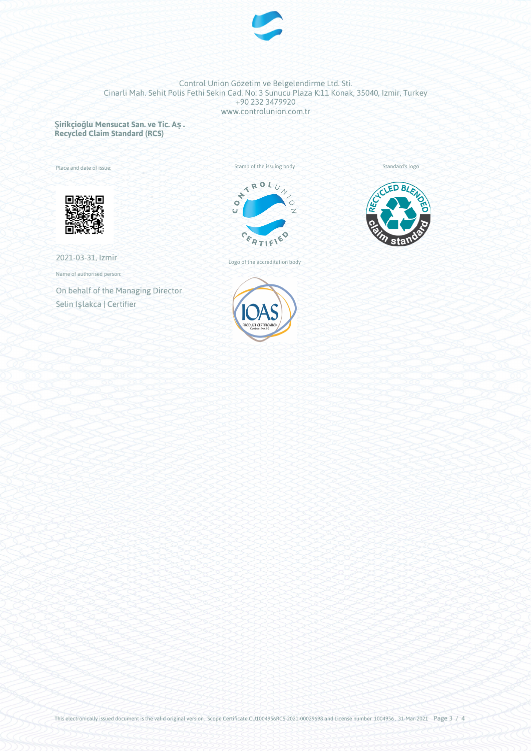

**Şirikçioğlu Mensucat San. ve Tic. Aş. Recycled Claim Standard (RCS)**

Place and date of issue:



2021-03-31, Izmir

Name of authorised person:

On behalf of the Managing Director Selin Işlakca | Certifier







Standard's logo



This electronically issued document is the valid original version. Scope Certificate CU1004956RCS-2021-00029698 and License number 1004956, 31-Mar-2021 Page 3 / 4